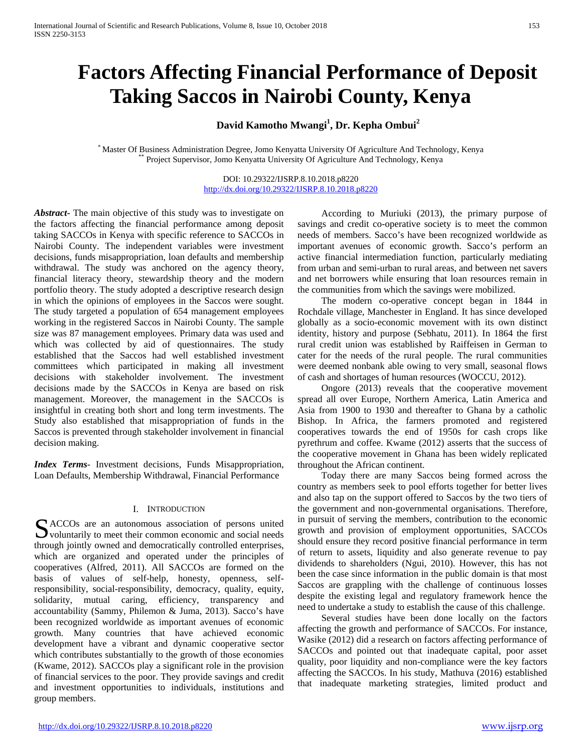# **Factors Affecting Financial Performance of Deposit Taking Saccos in Nairobi County, Kenya**

**David Kamotho Mwangi1 , Dr. Kepha Ombui<sup>2</sup>**

\* Master Of Business Administration Degree, Jomo Kenyatta University Of Agriculture And Technology, Kenya \*\* Project Supervisor, Jomo Kenyatta University Of Agriculture And Technology, Kenya

DOI: 10.29322/IJSRP.8.10.2018.p8220 <http://dx.doi.org/10.29322/IJSRP.8.10.2018.p8220>

*Abstract***-** The main objective of this study was to investigate on the factors affecting the financial performance among deposit taking SACCOs in Kenya with specific reference to SACCOs in Nairobi County. The independent variables were investment decisions, funds misappropriation, loan defaults and membership withdrawal. The study was anchored on the agency theory, financial literacy theory, stewardship theory and the modern portfolio theory. The study adopted a descriptive research design in which the opinions of employees in the Saccos were sought. The study targeted a population of 654 management employees working in the registered Saccos in Nairobi County. The sample size was 87 management employees. Primary data was used and which was collected by aid of questionnaires. The study established that the Saccos had well established investment committees which participated in making all investment decisions with stakeholder involvement. The investment decisions made by the SACCOs in Kenya are based on risk management. Moreover, the management in the SACCOs is insightful in creating both short and long term investments. The Study also established that misappropriation of funds in the Saccos is prevented through stakeholder involvement in financial decision making.

*Index Terms*- Investment decisions, Funds Misappropriation, Loan Defaults, Membership Withdrawal, Financial Performance

#### I. INTRODUCTION

SACCOs are an autonomous association of persons united<br>voluntarily to meet their common economic and social needs  $\sum$  voluntarily to meet their common economic and social needs through jointly owned and democratically controlled enterprises, which are organized and operated under the principles of cooperatives (Alfred, 2011). All SACCOs are formed on the basis of values of self-help, honesty, openness, selfresponsibility, social-responsibility, democracy, quality, equity, solidarity, mutual caring, efficiency, transparency and accountability (Sammy, Philemon & Juma, 2013). Sacco's have been recognized worldwide as important avenues of economic growth. Many countries that have achieved economic development have a vibrant and dynamic cooperative sector which contributes substantially to the growth of those economies (Kwame, 2012). SACCOs play a significant role in the provision of financial services to the poor. They provide savings and credit and investment opportunities to individuals, institutions and group members.

 According to Muriuki (2013), the primary purpose of savings and credit co-operative society is to meet the common needs of members. Sacco's have been recognized worldwide as important avenues of economic growth. Sacco's perform an active financial intermediation function, particularly mediating from urban and semi-urban to rural areas, and between net savers and net borrowers while ensuring that loan resources remain in the communities from which the savings were mobilized.

 The modern co-operative concept began in 1844 in Rochdale village, Manchester in England. It has since developed globally as a socio-economic movement with its own distinct identity, history and purpose (Sebhatu, 2011). In 1864 the first rural credit union was established by Raiffeisen in German to cater for the needs of the rural people. The rural communities were deemed nonbank able owing to very small, seasonal flows of cash and shortages of human resources (WOCCU, 2012).

 Ongore (2013) reveals that the cooperative movement spread all over Europe, Northern America, Latin America and Asia from 1900 to 1930 and thereafter to Ghana by a catholic Bishop. In Africa, the farmers promoted and registered cooperatives towards the end of 1950s for cash crops like pyrethrum and coffee. Kwame (2012) asserts that the success of the cooperative movement in Ghana has been widely replicated throughout the African continent.

 Today there are many Saccos being formed across the country as members seek to pool efforts together for better lives and also tap on the support offered to Saccos by the two tiers of the government and non-governmental organisations. Therefore, in pursuit of serving the members, contribution to the economic growth and provision of employment opportunities, SACCOs should ensure they record positive financial performance in term of return to assets, liquidity and also generate revenue to pay dividends to shareholders (Ngui, 2010). However, this has not been the case since information in the public domain is that most Saccos are grappling with the challenge of continuous losses despite the existing legal and regulatory framework hence the need to undertake a study to establish the cause of this challenge.

 Several studies have been done locally on the factors affecting the growth and performance of SACCOs. For instance, Wasike (2012) did a research on factors affecting performance of SACCOs and pointed out that inadequate capital, poor asset quality, poor liquidity and non-compliance were the key factors affecting the SACCOs. In his study, Mathuva (2016) established that inadequate marketing strategies, limited product and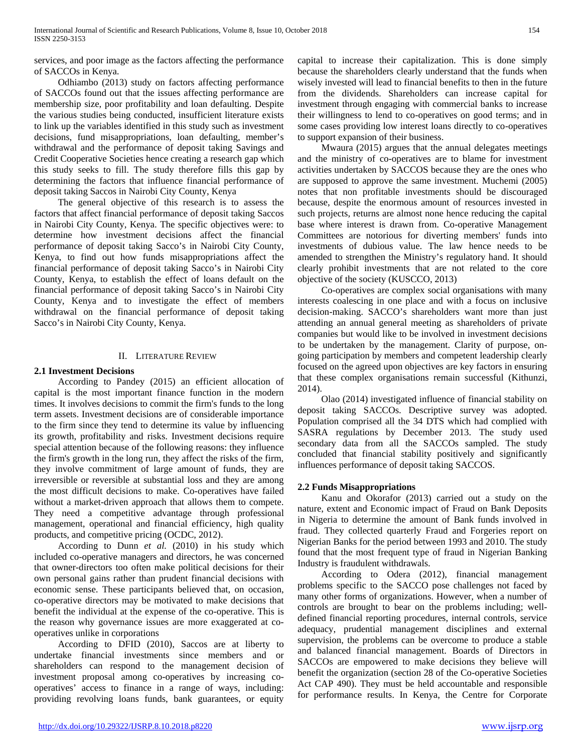services, and poor image as the factors affecting the performance of SACCOs in Kenya.

 Odhiambo (2013) study on factors affecting performance of SACCOs found out that the issues affecting performance are membership size, poor profitability and loan defaulting. Despite the various studies being conducted, insufficient literature exists to link up the variables identified in this study such as investment decisions, fund misappropriations, loan defaulting, member's withdrawal and the performance of deposit taking Savings and Credit Cooperative Societies hence creating a research gap which this study seeks to fill. The study therefore fills this gap by determining the factors that influence financial performance of deposit taking Saccos in Nairobi City County, Kenya

 The general objective of this research is to assess the factors that affect financial performance of deposit taking Saccos in Nairobi City County, Kenya. The specific objectives were: to determine how investment decisions affect the financial performance of deposit taking Sacco's in Nairobi City County, Kenya, to find out how funds misappropriations affect the financial performance of deposit taking Sacco's in Nairobi City County, Kenya, to establish the effect of loans default on the financial performance of deposit taking Sacco's in Nairobi City County, Kenya and to investigate the effect of members withdrawal on the financial performance of deposit taking Sacco's in Nairobi City County, Kenya.

# II. LITERATURE REVIEW

# **2.1 Investment Decisions**

 According to Pandey (2015) an efficient allocation of capital is the most important finance function in the modern times. It involves decisions to commit the firm's funds to the long term assets. Investment decisions are of considerable importance to the firm since they tend to determine its value by influencing its growth, profitability and risks. Investment decisions require special attention because of the following reasons: they influence the firm's growth in the long run, they affect the risks of the firm, they involve commitment of large amount of funds, they are irreversible or reversible at substantial loss and they are among the most difficult decisions to make. Co-operatives have failed without a market-driven approach that allows them to compete. They need a competitive advantage through professional management, operational and financial efficiency, high quality products, and competitive pricing (OCDC, 2012).

 According to Dunn *et al.* (2010) in his study which included co-operative managers and directors, he was concerned that owner-directors too often make political decisions for their own personal gains rather than prudent financial decisions with economic sense. These participants believed that, on occasion, co-operative directors may be motivated to make decisions that benefit the individual at the expense of the co-operative. This is the reason why governance issues are more exaggerated at cooperatives unlike in corporations

 According to DFID (2010), Saccos are at liberty to undertake financial investments since members and or shareholders can respond to the management decision of investment proposal among co-operatives by increasing cooperatives' access to finance in a range of ways, including: providing revolving loans funds, bank guarantees, or equity

capital to increase their capitalization. This is done simply because the shareholders clearly understand that the funds when wisely invested will lead to financial benefits to then in the future from the dividends. Shareholders can increase capital for investment through engaging with commercial banks to increase their willingness to lend to co-operatives on good terms; and in some cases providing low interest loans directly to co-operatives to support expansion of their business.

 Mwaura (2015) argues that the annual delegates meetings and the ministry of co-operatives are to blame for investment activities undertaken by SACCOS because they are the ones who are supposed to approve the same investment. Muchemi (2005) notes that non profitable investments should be discouraged because, despite the enormous amount of resources invested in such projects, returns are almost none hence reducing the capital base where interest is drawn from. Co-operative Management Committees are notorious for diverting members' funds into investments of dubious value. The law hence needs to be amended to strengthen the Ministry's regulatory hand. It should clearly prohibit investments that are not related to the core objective of the society (KUSCCO, 2013)

 Co-operatives are complex social organisations with many interests coalescing in one place and with a focus on inclusive decision-making. SACCO's shareholders want more than just attending an annual general meeting as shareholders of private companies but would like to be involved in investment decisions to be undertaken by the management. Clarity of purpose, ongoing participation by members and competent leadership clearly focused on the agreed upon objectives are key factors in ensuring that these complex organisations remain successful (Kithunzi, 2014).

 Olao (2014) investigated influence of financial stability on deposit taking SACCOs. Descriptive survey was adopted. Population comprised all the 34 DTS which had complied with SASRA regulations by December 2013. The study used secondary data from all the SACCOs sampled. The study concluded that financial stability positively and significantly influences performance of deposit taking SACCOS.

# **2.2 Funds Misappropriations**

 Kanu and Okorafor (2013) carried out a study on the nature, extent and Economic impact of Fraud on Bank Deposits in Nigeria to determine the amount of Bank funds involved in fraud. They collected quarterly Fraud and Forgeries report on Nigerian Banks for the period between 1993 and 2010. The study found that the most frequent type of fraud in Nigerian Banking Industry is fraudulent withdrawals.

 According to Odera (2012), financial management problems specific to the SACCO pose challenges not faced by many other forms of organizations. However, when a number of controls are brought to bear on the problems including; welldefined financial reporting procedures, internal controls, service adequacy, prudential management disciplines and external supervision, the problems can be overcome to produce a stable and balanced financial management. Boards of Directors in SACCOs are empowered to make decisions they believe will benefit the organization (section 28 of the Co-operative Societies Act CAP 490). They must be held accountable and responsible for performance results. In Kenya, the Centre for Corporate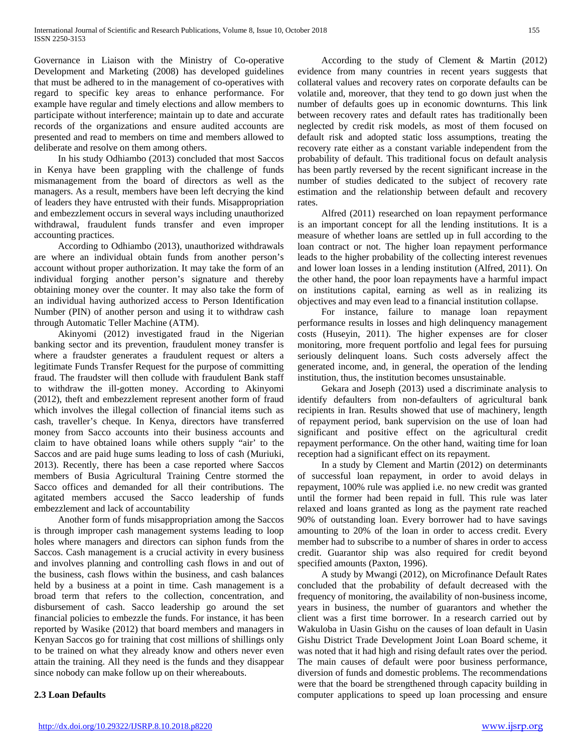Governance in Liaison with the Ministry of Co-operative Development and Marketing (2008) has developed guidelines that must be adhered to in the management of co-operatives with regard to specific key areas to enhance performance. For example have regular and timely elections and allow members to participate without interference; maintain up to date and accurate records of the organizations and ensure audited accounts are presented and read to members on time and members allowed to deliberate and resolve on them among others.

 In his study Odhiambo (2013) concluded that most Saccos in Kenya have been grappling with the challenge of funds mismanagement from the board of directors as well as the managers. As a result, members have been left decrying the kind of leaders they have entrusted with their funds. Misappropriation and embezzlement occurs in several ways including unauthorized withdrawal, fraudulent funds transfer and even improper accounting practices.

 According to Odhiambo (2013), unauthorized withdrawals are where an individual obtain funds from another person's account without proper authorization. It may take the form of an individual forging another person's signature and thereby obtaining money over the counter. It may also take the form of an individual having authorized access to Person Identification Number (PIN) of another person and using it to withdraw cash through Automatic Teller Machine (ATM).

 Akinyomi (2012) investigated fraud in the Nigerian banking sector and its prevention, fraudulent money transfer is where a fraudster generates a fraudulent request or alters a legitimate Funds Transfer Request for the purpose of committing fraud. The fraudster will then collude with fraudulent Bank staff to withdraw the ill-gotten money. According to Akinyomi (2012), theft and embezzlement represent another form of fraud which involves the illegal collection of financial items such as cash, traveller's cheque. In Kenya, directors have transferred money from Sacco accounts into their business accounts and claim to have obtained loans while others supply "air' to the Saccos and are paid huge sums leading to loss of cash (Muriuki, 2013). Recently, there has been a case reported where Saccos members of Busia Agricultural Training Centre stormed the Sacco offices and demanded for all their contributions. The agitated members accused the Sacco leadership of funds embezzlement and lack of accountability

 Another form of funds misappropriation among the Saccos is through improper cash management systems leading to loop holes where managers and directors can siphon funds from the Saccos. Cash management is a crucial activity in every business and involves planning and controlling cash flows in and out of the business, cash flows within the business, and cash balances held by a business at a point in time. Cash management is a broad term that refers to the collection, concentration, and disbursement of cash. Sacco leadership go around the set financial policies to embezzle the funds. For instance, it has been reported by Wasike (2012) that board members and managers in Kenyan Saccos go for training that cost millions of shillings only to be trained on what they already know and others never even attain the training. All they need is the funds and they disappear since nobody can make follow up on their whereabouts.

# **2.3 Loan Defaults**

 According to the study of Clement & Martin (2012) evidence from many countries in recent years suggests that collateral values and recovery rates on corporate defaults can be volatile and, moreover, that they tend to go down just when the number of defaults goes up in economic downturns. This link between recovery rates and default rates has traditionally been neglected by credit risk models, as most of them focused on default risk and adopted static loss assumptions, treating the recovery rate either as a constant variable independent from the probability of default. This traditional focus on default analysis has been partly reversed by the recent significant increase in the number of studies dedicated to the subject of recovery rate estimation and the relationship between default and recovery rates.

 Alfred (2011) researched on loan repayment performance is an important concept for all the lending institutions. It is a measure of whether loans are settled up in full according to the loan contract or not. The higher loan repayment performance leads to the higher probability of the collecting interest revenues and lower loan losses in a lending institution (Alfred, 2011). On the other hand, the poor loan repayments have a harmful impact on institutions capital, earning as well as in realizing its objectives and may even lead to a financial institution collapse.

 For instance, failure to manage loan repayment performance results in losses and high delinquency management costs (Huseyin, 2011). The higher expenses are for closer monitoring, more frequent portfolio and legal fees for pursuing seriously delinquent loans. Such costs adversely affect the generated income, and, in general, the operation of the lending institution, thus, the institution becomes unsustainable.

 Gekara and Joseph (2013) used a discriminate analysis to identify defaulters from non-defaulters of agricultural bank recipients in Iran. Results showed that use of machinery, length of repayment period, bank supervision on the use of loan had significant and positive effect on the agricultural credit repayment performance. On the other hand, waiting time for loan reception had a significant effect on its repayment.

 In a study by Clement and Martin (2012) on determinants of successful loan repayment, in order to avoid delays in repayment, 100% rule was applied i.e. no new credit was granted until the former had been repaid in full. This rule was later relaxed and loans granted as long as the payment rate reached 90% of outstanding loan. Every borrower had to have savings amounting to 20% of the loan in order to access credit. Every member had to subscribe to a number of shares in order to access credit. Guarantor ship was also required for credit beyond specified amounts (Paxton, 1996).

 A study by Mwangi (2012), on Microfinance Default Rates concluded that the probability of default decreased with the frequency of monitoring, the availability of non-business income, years in business, the number of guarantors and whether the client was a first time borrower. In a research carried out by Wakuloba in Uasin Gishu on the causes of loan default in Uasin Gishu District Trade Development Joint Loan Board scheme, it was noted that it had high and rising default rates over the period. The main causes of default were poor business performance, diversion of funds and domestic problems. The recommendations were that the board be strengthened through capacity building in computer applications to speed up loan processing and ensure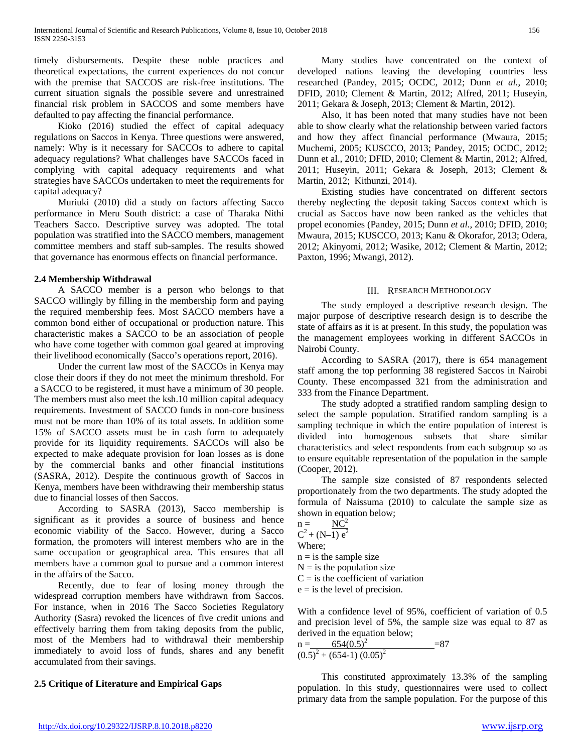timely disbursements. Despite these noble practices and theoretical expectations, the current experiences do not concur with the premise that SACCOS are risk-free institutions. The current situation signals the possible severe and unrestrained financial risk problem in SACCOS and some members have defaulted to pay affecting the financial performance.

 Kioko (2016) studied the effect of capital adequacy regulations on Saccos in Kenya. Three questions were answered, namely: Why is it necessary for SACCOs to adhere to capital adequacy regulations? What challenges have SACCOs faced in complying with capital adequacy requirements and what strategies have SACCOs undertaken to meet the requirements for capital adequacy?

 Muriuki (2010) did a study on factors affecting Sacco performance in Meru South district: a case of Tharaka Nithi Teachers Sacco. Descriptive survey was adopted. The total population was stratified into the SACCO members, management committee members and staff sub-samples. The results showed that governance has enormous effects on financial performance.

# **2.4 Membership Withdrawal**

 A SACCO member is a person who belongs to that SACCO willingly by filling in the membership form and paying the required membership fees. Most SACCO members have a common bond either of occupational or production nature. This characteristic makes a SACCO to be an association of people who have come together with common goal geared at improving their livelihood economically (Sacco's operations report, 2016).

 Under the current law most of the SACCOs in Kenya may close their doors if they do not meet the minimum threshold. For a SACCO to be registered, it must have a minimum of 30 people. The members must also meet the ksh.10 million capital adequacy requirements. Investment of SACCO funds in non-core business must not be more than 10% of its total assets. In addition some 15% of SACCO assets must be in cash form to adequately provide for its liquidity requirements. SACCOs will also be expected to make adequate provision for loan losses as is done by the commercial banks and other financial institutions (SASRA, 2012). Despite the continuous growth of Saccos in Kenya, members have been withdrawing their membership status due to financial losses of then Saccos.

 According to SASRA (2013), Sacco membership is significant as it provides a source of business and hence economic viability of the Sacco. However, during a Sacco formation, the promoters will interest members who are in the same occupation or geographical area. This ensures that all members have a common goal to pursue and a common interest in the affairs of the Sacco.

 Recently, due to fear of losing money through the widespread corruption members have withdrawn from Saccos. For instance, when in 2016 The Sacco Societies Regulatory Authority (Sasra) revoked the licences of five credit unions and effectively barring them from taking deposits from the public, most of the Members had to withdrawal their membership immediately to avoid loss of funds, shares and any benefit accumulated from their savings.

# **2.5 Critique of Literature and Empirical Gaps**

 Many studies have concentrated on the context of developed nations leaving the developing countries less researched (Pandey, 2015; OCDC, 2012; Dunn *et al.*, 2010; DFID, 2010; Clement & Martin, 2012; Alfred, 2011; Huseyin, 2011; Gekara & Joseph, 2013; Clement & Martin, 2012).

 Also, it has been noted that many studies have not been able to show clearly what the relationship between varied factors and how they affect financial performance (Mwaura, 2015; Muchemi, 2005; KUSCCO, 2013; Pandey, 2015; OCDC, 2012; Dunn et al., 2010; DFID, 2010; Clement & Martin, 2012; Alfred, 2011; Huseyin, 2011; Gekara & Joseph, 2013; Clement & Martin, 2012; Kithunzi, 2014).

 Existing studies have concentrated on different sectors thereby neglecting the deposit taking Saccos context which is crucial as Saccos have now been ranked as the vehicles that propel economies (Pandey, 2015; Dunn *et al.*, 2010; DFID, 2010; Mwaura, 2015; KUSCCO, 2013; Kanu & Okorafor, 2013; Odera, 2012; Akinyomi, 2012; Wasike, 2012; Clement & Martin, 2012; Paxton, 1996; Mwangi, 2012).

# III. RESEARCH METHODOLOGY

 The study employed a descriptive research design. The major purpose of descriptive research design is to describe the state of affairs as it is at present. In this study, the population was the management employees working in different SACCOs in Nairobi County.

 According to SASRA (2017), there is 654 management staff among the top performing 38 registered Saccos in Nairobi County. These encompassed 321 from the administration and 333 from the Finance Department.

 The study adopted a stratified random sampling design to select the sample population. Stratified random sampling is a sampling technique in which the entire population of interest is divided into homogenous subsets that share similar characteristics and select respondents from each subgroup so as to ensure equitable representation of the population in the sample (Cooper, 2012).

 The sample size consisted of 87 respondents selected proportionately from the two departments. The study adopted the formula of Naissuma (2010) to calculate the sample size as shown in equation below;<br> $n = NC<sup>2</sup>$ 

 $n =$  $C^2 + (N-1) e^2$ Where;  $n = i$  s the sample size  $N = i$  s the population size  $C = iS$  the coefficient of variation  $e = i$  s the level of precision.

With a confidence level of 95%, coefficient of variation of 0.5 and precision level of 5%, the sample size was equal to 87 as derived in the equation below;

n = 
$$
\frac{654(0.5)^2}{(0.5)^2 + (654-1) (0.05)^2}
$$
 = 87

 This constituted approximately 13.3% of the sampling population. In this study, questionnaires were used to collect primary data from the sample population. For the purpose of this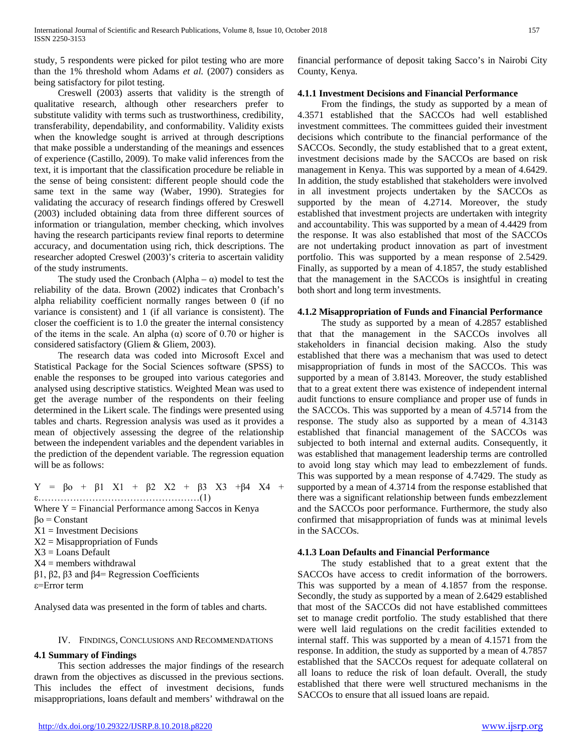study, 5 respondents were picked for pilot testing who are more than the 1% threshold whom Adams *et al.* (2007) considers as being satisfactory for pilot testing.

 Creswell (2003) asserts that validity is the strength of qualitative research, although other researchers prefer to substitute validity with terms such as trustworthiness, credibility, transferability, dependability, and conformability. Validity exists when the knowledge sought is arrived at through descriptions that make possible a understanding of the meanings and essences of experience (Castillo, 2009). To make valid inferences from the text, it is important that the classification procedure be reliable in the sense of being consistent: different people should code the same text in the same way (Waber, 1990). Strategies for validating the accuracy of research findings offered by Creswell (2003) included obtaining data from three different sources of information or triangulation, member checking, which involves having the research participants review final reports to determine accuracy, and documentation using rich, thick descriptions. The researcher adopted Creswel (2003)'s criteria to ascertain validity of the study instruments.

The study used the Cronbach (Alpha –  $\alpha$ ) model to test the reliability of the data. Brown (2002) indicates that Cronbach's alpha reliability coefficient normally ranges between 0 (if no variance is consistent) and 1 (if all variance is consistent). The closer the coefficient is to 1.0 the greater the internal consistency of the items in the scale. An alpha  $(\alpha)$  score of 0.70 or higher is considered satisfactory (Gliem & Gliem, 2003).

 The research data was coded into Microsoft Excel and Statistical Package for the Social Sciences software (SPSS) to enable the responses to be grouped into various categories and analysed using descriptive statistics. Weighted Mean was used to get the average number of the respondents on their feeling determined in the Likert scale. The findings were presented using tables and charts. Regression analysis was used as it provides a mean of objectively assessing the degree of the relationship between the independent variables and the dependent variables in the prediction of the dependent variable. The regression equation will be as follows:

Y = βо + β1 X1 + β2 X2 + β3 X3 +β4 X4 + ε……………………………………………(1) Where  $Y =$  Financial Performance among Saccos in Kenya

βо = Constant

- $X1 =$  Investment Decisions
- $X2 = M$ isappropriation of Funds
- $X3 =$ Loans Default
- $X4$  = members withdrawal
- β1, β2, β3 and β4= Regression Coefficients
- ε=Error term

Analysed data was presented in the form of tables and charts.

# IV. FINDINGS, CONCLUSIONS AND RECOMMENDATIONS

# **4.1 Summary of Findings**

 This section addresses the major findings of the research drawn from the objectives as discussed in the previous sections. This includes the effect of investment decisions, funds misappropriations, loans default and members' withdrawal on the financial performance of deposit taking Sacco's in Nairobi City County, Kenya.

# **4.1.1 Investment Decisions and Financial Performance**

 From the findings, the study as supported by a mean of 4.3571 established that the SACCOs had well established investment committees. The committees guided their investment decisions which contribute to the financial performance of the SACCOs. Secondly, the study established that to a great extent, investment decisions made by the SACCOs are based on risk management in Kenya. This was supported by a mean of 4.6429. In addition, the study established that stakeholders were involved in all investment projects undertaken by the SACCOs as supported by the mean of 4.2714. Moreover, the study established that investment projects are undertaken with integrity and accountability. This was supported by a mean of 4.4429 from the response. It was also established that most of the SACCOs are not undertaking product innovation as part of investment portfolio. This was supported by a mean response of 2.5429. Finally, as supported by a mean of 4.1857, the study established that the management in the SACCOs is insightful in creating both short and long term investments.

# **4.1.2 Misappropriation of Funds and Financial Performance**

 The study as supported by a mean of 4.2857 established that that the management in the SACCOs involves all stakeholders in financial decision making. Also the study established that there was a mechanism that was used to detect misappropriation of funds in most of the SACCOs. This was supported by a mean of 3.8143. Moreover, the study established that to a great extent there was existence of independent internal audit functions to ensure compliance and proper use of funds in the SACCOs. This was supported by a mean of 4.5714 from the response. The study also as supported by a mean of 4.3143 established that financial management of the SACCOs was subjected to both internal and external audits. Consequently, it was established that management leadership terms are controlled to avoid long stay which may lead to embezzlement of funds. This was supported by a mean response of 4.7429. The study as supported by a mean of 4.3714 from the response established that there was a significant relationship between funds embezzlement and the SACCOs poor performance. Furthermore, the study also confirmed that misappropriation of funds was at minimal levels in the SACCOs.

# **4.1.3 Loan Defaults and Financial Performance**

 The study established that to a great extent that the SACCOs have access to credit information of the borrowers. This was supported by a mean of 4.1857 from the response. Secondly, the study as supported by a mean of 2.6429 established that most of the SACCOs did not have established committees set to manage credit portfolio. The study established that there were well laid regulations on the credit facilities extended to internal staff. This was supported by a mean of 4.1571 from the response. In addition, the study as supported by a mean of 4.7857 established that the SACCOs request for adequate collateral on all loans to reduce the risk of loan default. Overall, the study established that there were well structured mechanisms in the SACCOs to ensure that all issued loans are repaid.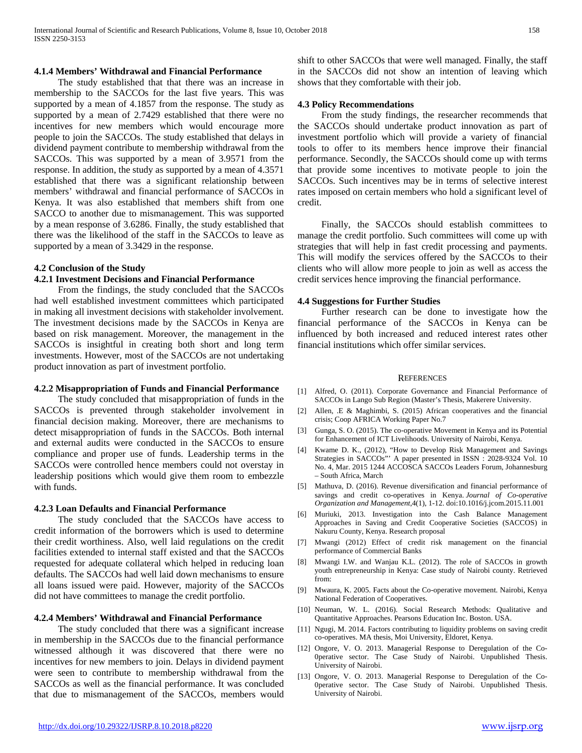#### **4.1.4 Members' Withdrawal and Financial Performance**

 The study established that that there was an increase in membership to the SACCOs for the last five years. This was supported by a mean of 4.1857 from the response. The study as supported by a mean of 2.7429 established that there were no incentives for new members which would encourage more people to join the SACCOs. The study established that delays in dividend payment contribute to membership withdrawal from the SACCOs. This was supported by a mean of 3.9571 from the response. In addition, the study as supported by a mean of 4.3571 established that there was a significant relationship between members' withdrawal and financial performance of SACCOs in Kenya. It was also established that members shift from one SACCO to another due to mismanagement. This was supported by a mean response of 3.6286. Finally, the study established that there was the likelihood of the staff in the SACCOs to leave as supported by a mean of 3.3429 in the response.

#### **4.2 Conclusion of the Study**

#### **4.2.1 Investment Decisions and Financial Performance**

 From the findings, the study concluded that the SACCOs had well established investment committees which participated in making all investment decisions with stakeholder involvement. The investment decisions made by the SACCOs in Kenya are based on risk management. Moreover, the management in the SACCOs is insightful in creating both short and long term investments. However, most of the SACCOs are not undertaking product innovation as part of investment portfolio.

#### **4.2.2 Misappropriation of Funds and Financial Performance**

 The study concluded that misappropriation of funds in the SACCOs is prevented through stakeholder involvement in financial decision making. Moreover, there are mechanisms to detect misappropriation of funds in the SACCOs. Both internal and external audits were conducted in the SACCOs to ensure compliance and proper use of funds. Leadership terms in the SACCOs were controlled hence members could not overstay in leadership positions which would give them room to embezzle with funds.

#### **4.2.3 Loan Defaults and Financial Performance**

 The study concluded that the SACCOs have access to credit information of the borrowers which is used to determine their credit worthiness. Also, well laid regulations on the credit facilities extended to internal staff existed and that the SACCOs requested for adequate collateral which helped in reducing loan defaults. The SACCOs had well laid down mechanisms to ensure all loans issued were paid. However, majority of the SACCOs did not have committees to manage the credit portfolio.

#### **4.2.4 Members' Withdrawal and Financial Performance**

 The study concluded that there was a significant increase in membership in the SACCOs due to the financial performance witnessed although it was discovered that there were no incentives for new members to join. Delays in dividend payment were seen to contribute to membership withdrawal from the SACCOs as well as the financial performance. It was concluded that due to mismanagement of the SACCOs, members would

shift to other SACCOs that were well managed. Finally, the staff in the SACCOs did not show an intention of leaving which shows that they comfortable with their job.

#### **4.3 Policy Recommendations**

 From the study findings, the researcher recommends that the SACCOs should undertake product innovation as part of investment portfolio which will provide a variety of financial tools to offer to its members hence improve their financial performance. Secondly, the SACCOs should come up with terms that provide some incentives to motivate people to join the SACCOs. Such incentives may be in terms of selective interest rates imposed on certain members who hold a significant level of credit.

 Finally, the SACCOs should establish committees to manage the credit portfolio. Such committees will come up with strategies that will help in fast credit processing and payments. This will modify the services offered by the SACCOs to their clients who will allow more people to join as well as access the credit services hence improving the financial performance.

#### **4.4 Suggestions for Further Studies**

 Further research can be done to investigate how the financial performance of the SACCOs in Kenya can be influenced by both increased and reduced interest rates other financial institutions which offer similar services.

#### **REFERENCES**

- [1] Alfred, O. (2011). Corporate Governance and Financial Performance of SACCOs in Lango Sub Region (Master's Thesis, Makerere University.
- [2] Allen, .E & Maghimbi, S. (2015) African cooperatives and the financial crisis; Coop AFRICA Working Paper No.7
- [3] Gunga, S. O. (2015). The co-operative Movement in Kenya and its Potential for Enhancement of ICT Livelihoods. University of Nairobi, Kenya.
- [4] Kwame D. K., (2012), "How to Develop Risk Management and Savings Strategies in SACCOs"' A paper presented in ISSN : 2028-9324 Vol. 10 No. 4, Mar. 2015 1244 ACCOSCA SACCOs Leaders Forum, Johannesburg – South Africa, March
- [5] Mathuva, D. (2016). Revenue diversification and financial performance of savings and credit co-operatives in Kenya. *Journal of Co-operative Organization and Management*,4(1), 1-12. doi:10.1016/j.jcom.2015.11.001
- [6] Muriuki, 2013. Investigation into the Cash Balance Management Approaches in Saving and Credit Cooperative Societies (SACCOS) in Nakuru County, Kenya. Research proposal
- [7] Mwangi (2012) Effect of credit risk management on the financial performance of Commercial Banks
- [8] Mwangi I.W. and Wanjau K.L. (2012). The role of SACCOs in growth youth entrepreneurship in Kenya: Case study of Nairobi county. Retrieved from:
- [9] Mwaura, K. 2005. Facts about the Co-operative movement. Nairobi, Kenya National Federation of Cooperatives.
- [10] Neuman, W. L. (2016). Social Research Methods: Qualitative and Quantitative Approaches. Pearsons Education Inc. Boston. USA.
- [11] Ngugi, M. 2014. Factors contributing to liquidity problems on saving credit co-operatives. MA thesis, Moi University, Eldoret, Kenya.
- [12] Ongore, V. O. 2013. Managerial Response to Deregulation of the Co-0perative sector. The Case Study of Nairobi. Unpublished Thesis. University of Nairobi.
- [13] Ongore, V. O. 2013. Managerial Response to Deregulation of the Co-0perative sector. The Case Study of Nairobi. Unpublished Thesis. University of Nairobi.